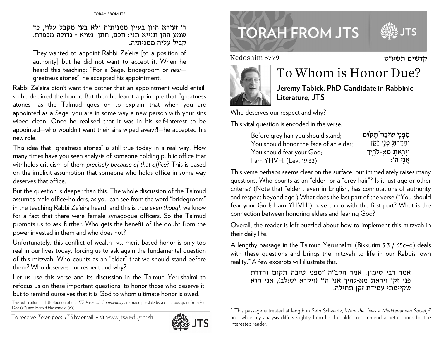### ר' זעירא הוון בעיין ממניתיה ולא בעי מקבל עלוי, כד שמע ההן תנייא תני: חכם, חתן, נשיא - גדולה מכפרת. קביל עליה ממניתיה.

They wanted to appoint Rabbi Ze'eira [to a position of authority] but he did not want to accept it. When he heard this teaching: "For a Sage, bridegroom or nasigreatness atones", he accepted his appointment.

Rabbi Ze'eira didn't want the bother that an appointment would entail, so he declined the honor. But then he learnt a principle that "greatness atones"-as the Talmud goes on to explain-that when you are appointed as a Sage, you are in some way a new person with your sins wiped clean. Once he realised that it was in his self-interest to be appointed—who wouldn't want their sins wiped away?!—he accepted his new role.

This idea that "greatness atones" is still true today in a real way. How many times have you seen analysis of someone holding public office that withholds criticism of them precisely because of that office? This is based on the implicit assumption that someone who holds office in some way deserves that office.

But the question is deeper than this. The whole discussion of the Talmud assumes male office-holders, as you can see from the word "bridegroom" in the teaching Rabbi Ze'eira heard, and this is true even though we know for a fact that there were female synagogue officers. So the Talmud prompts us to ask further: Who gets the benefit of the doubt from the power invested in them and who does not?

Unfortunately, this conflict of wealth- vs. merit-based honor is only too real in our lives today, forcing us to ask again the fundamental question of this mitzvah: Who counts as an "elder" that we should stand before them? Who deserves our respect and why?

Let us use this verse and its discussion in the Talmud Yerushalmi to refocus us on these important questions, to honor those who deserve it, but to remind ourselves that it is God to whom ultimate honor is owed.

The publication and distribution of the JTS Parashah Commentary are made possible by a generous grant from Rita Dee (z") and Harold Hassenfeld (z").

To receive Torah from JTS by email, visit www.jtsa.edu/torah



# **TORAH FROM JTS**

Kedoshim 5779



## To Whom is Honor Due?

קדשים תשע"ט

Jeremy Tabick, PhD Candidate in Rabbinic Literature, JTS

Who deserves our respect and why?

This vital question is encoded in the verse:

| Before grey hair you should stand;     | מִפְּנֵי שֵׂיבָה תָּקוּם  |
|----------------------------------------|---------------------------|
| You should honor the face of an elder; | וְהָדַרְתָּ פְּנֵי זָקֵן  |
| You should fear your God;              | וְיָרֵאתָ מֵּאֱ-לֹהֶיִךָּ |
| I am YHVH. (Lev. 19:32)                | ּאֲנְי ה׳:                |

This verse perhaps seems clear on the surface, but immediately raises many questions. Who counts as an "elder" or a "grey hair"? Is it just age or other criteria? (Note that "elder", even in English, has connotations of authority and respect beyond age.) What does the last part of the verse ("You should fear your God; I am YHVH") have to do with the first part? What is the connection between honoring elders and fearing God?

Overall, the reader is left puzzled about how to implement this mitzvah in their daily life.

A lengthy passage in the Talmud Yerushalmi (Bikkurim 3:3 / 65c-d) deals with these questions and brings the mitzvah to life in our Rabbis' own reality.\* A few excerpts will illustrate this.

אמר רבי סימון: אמר הקב"ה "מפני שיבה תקום והדרת פני זקן ויראת מא-להיך אני ה" (ויקרא יט:לב), אני הוא שקיימתי עמידת זקן תחילה.

<sup>\*</sup> This passage is treated at length in Seth Schwartz, Were the Jews a Mediterranean Society? and, while my analysis differs slightly from his, I couldn't recommend a better book for the interested reader